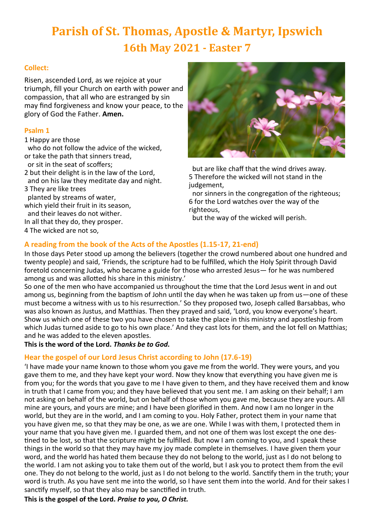# **Parish of St. Thomas, Apostle & Martyr, Ipswich 16th May 2021 - Easter 7**

## **Collect:**

Risen, ascended Lord, as we rejoice at your triumph, fill your Church on earth with power and compassion, that all who are estranged by sin may find forgiveness and know your peace, to the glory of God the Father. **Amen.**

## **Psalm 1**

1 Happy are those

who do not follow the advice of the wicked, or take the path that sinners tread,

or sit in the seat of scoffers;

2 but their delight is in the law of the Lord, and on his law they meditate day and night.

3 They are like trees

planted by streams of water,

which yield their fruit in its season,

and their leaves do not wither. In all that they do, they prosper.

but are like chaff that the wind drives away. 5 Therefore the wicked will not stand in the judgement,

nor sinners in the congregation of the righteous; 6 for the Lord watches over the way of the righteous,

but the way of the wicked will perish.

4 The wicked are not so,

## **A reading from the book of the Acts of the Apostles (1.15-17, 21-end)**

In those days Peter stood up among the believers (together the crowd numbered about one hundred and twenty people) and said, 'Friends, the scripture had to be fulfilled, which the Holy Spirit through David foretold concerning Judas, who became a guide for those who arrested Jesus— for he was numbered among us and was allotted his share in this ministry.'

So one of the men who have accompanied us throughout the time that the Lord Jesus went in and out among us, beginning from the baptism of John until the day when he was taken up from us—one of these must become a witness with us to his resurrection.' So they proposed two, Joseph called Barsabbas, who was also known as Justus, and Matthias. Then they prayed and said, 'Lord, you know everyone's heart. Show us which one of these two you have chosen to take the place in this ministry and apostleship from which Judas turned aside to go to his own place.' And they cast lots for them, and the lot fell on Matthias; and he was added to the eleven apostles.

### **This is the word of the Lord.** *Thanks be to God.*

## **Hear the gospel of our Lord Jesus Christ according to John (17.6-19)**

'I have made your name known to those whom you gave me from the world. They were yours, and you gave them to me, and they have kept your word. Now they know that everything you have given me is from you; for the words that you gave to me I have given to them, and they have received them and know in truth that I came from you; and they have believed that you sent me. I am asking on their behalf; I am not asking on behalf of the world, but on behalf of those whom you gave me, because they are yours. All mine are yours, and yours are mine; and I have been glorified in them. And now I am no longer in the world, but they are in the world, and I am coming to you. Holy Father, protect them in your name that you have given me, so that they may be one, as we are one. While I was with them, I protected them in your name that you have given me. I guarded them, and not one of them was lost except the one destined to be lost, so that the scripture might be fulfilled. But now I am coming to you, and I speak these things in the world so that they may have my joy made complete in themselves. I have given them your word, and the world has hated them because they do not belong to the world, just as I do not belong to the world. I am not asking you to take them out of the world, but I ask you to protect them from the evil one. They do not belong to the world, just as I do not belong to the world. Sanctify them in the truth; your word is truth. As you have sent me into the world, so I have sent them into the world. And for their sakes I sanctify myself, so that they also may be sanctified in truth.

**This is the gospel of the Lord.** *Praise to you, O Christ.*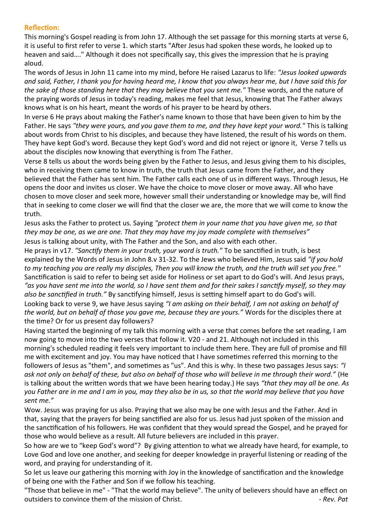## **Reflection:**

This morning's Gospel reading is from John 17. Although the set passage for this morning starts at verse 6, it is useful to first refer to verse 1. which starts "After Jesus had spoken these words, he looked up to heaven and said…." Although it does not specifically say, this gives the impression that he is praying aloud.

The words of Jesus in John 11 came into my mind, before He raised Lazarus to life: *"Jesus looked upwards and said, Father, I thank you for having heard me, I know that you always hear me, but I have said this for the sake of those standing here that they may believe that you sent me."* These words, and the nature of the praying words of Jesus in today's reading, makes me feel that Jesus, knowing that The Father always knows what is on his heart, meant the words of his prayer to be heard by others.

In verse 6 He prays about making the Father's name known to those that have been given to him by the Father. He says *"they were yours, and you gave them to me, and they have kept your word."* This is talking about words from Christ to his disciples, and because they have listened, the result of his words on them. They have kept God's word. Because they kept God's word and did not reject or ignore it, Verse 7 tells us about the disciples now knowing that everything is from The Father.

Verse 8 tells us about the words being given by the Father to Jesus, and Jesus giving them to his disciples, who in receiving them came to know in truth, the truth that Jesus came from the Father, and they believed that the Father has sent him. The Father calls each one of us in different ways. Through Jesus, He opens the door and invites us closer. We have the choice to move closer or move away. All who have chosen to move closer and seek more, however small their understanding or knowledge may be, will find that in seeking to come closer we will find that the closer we are, the more that we will come to know the truth.

Jesus asks the Father to protect us. Saying *"protect them in your name that you have given me, so that they may be one, as we are one. That they may have my joy made complete with themselves"* Jesus is talking about unity, with The Father and the Son, and also with each other.

He prays in v17. *"Sanctify them in your truth, your word is truth."* To be sanctified in truth, is best explained by the Words of Jesus in John 8.v 31-32. To the Jews who believed Him, Jesus said *"if you hold to my teaching you are really my disciples, Then you will know the truth, and the truth will set you free."*  Sanctification is said to refer to being set aside for Holiness or set apart to do God's will. And Jesus prays, *"as you have sent me into the world, so I have sent them and for their sakes I sanctify myself, so they may also be sanctified in truth."* By sanctifying himself, Jesus is setting himself apart to do God's will. Looking back to verse 9, we have Jesus saying *"I am asking on their behalf, I am not asking on behalf of the world, but on behalf of those you gave me, because they are yours."* Words for the disciples there at the time? Or for us present day followers?

Having started the beginning of my talk this morning with a verse that comes before the set reading, I am now going to move into the two verses that follow it. V20 - and 21. Although not included in this morning's scheduled reading it feels very important to include them here. They are full of promise and fill me with excitement and joy. You may have noticed that I have sometimes referred this morning to the followers of Jesus as "them", and sometimes as "us". And this is why. In these two passages Jesus says: *"I ask not only on behalf of these, but also on behalf of those who will believe in me through their word."* (He is talking about the written words that we have been hearing today.) He says *"that they may all be one. As you Father are in me and I am in you, may they also be in us, so that the world may believe that you have sent me."* 

Wow. Jesus was praying for us also. Praying that we also may be one with Jesus and the Father. And in that, saying that the prayers for being sanctified are also for us. Jesus had just spoken of the mission and the sanctification of his followers. He was confident that they would spread the Gospel, and he prayed for those who would believe as a result. All future believers are included in this prayer.

So how are we to "keep God's word"? By giving attention to what we already have heard, for example, to Love God and love one another, and seeking for deeper knowledge in prayerful listening or reading of the word, and praying for understanding of it.

So let us leave our gathering this morning with Joy in the knowledge of sanctification and the knowledge of being one with the Father and Son if we follow his teaching.

"Those that believe in me" - "That the world may believe". The unity of believers should have an effect on outsiders to convince them of the mission of Christ. *- Rev. Pat*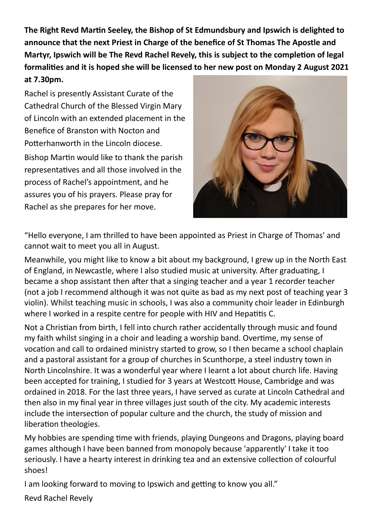**The Right Revd Martin Seeley, the Bishop of St Edmundsbury and Ipswich is delighted to announce that the next Priest in Charge of the benefice of St Thomas The Apostle and Martyr, Ipswich will be The Revd Rachel Revely, this is subject to the completion of legal formalities and it is hoped she will be licensed to her new post on Monday 2 August 2021 at 7.30pm.**

Rachel is presently Assistant Curate of the Cathedral Church of the Blessed Virgin Mary of Lincoln with an extended placement in the Benefice of Branston with Nocton and Potterhanworth in the Lincoln diocese.

Bishop Martin would like to thank the parish representatives and all those involved in the process of Rachel's appointment, and he assures you of his prayers. Please pray for Rachel as she prepares for her move.



"Hello everyone, I am thrilled to have been appointed as Priest in Charge of Thomas' and cannot wait to meet you all in August.

Meanwhile, you might like to know a bit about my background, I grew up in the North East of England, in Newcastle, where I also studied music at university. After graduating, I became a shop assistant then after that a singing teacher and a year 1 recorder teacher (not a job I recommend although it was not quite as bad as my next post of teaching year 3 violin). Whilst teaching music in schools, I was also a community choir leader in Edinburgh where I worked in a respite centre for people with HIV and Hepatitis C.

Not a Christian from birth, I fell into church rather accidentally through music and found my faith whilst singing in a choir and leading a worship band. Overtime, my sense of vocation and call to ordained ministry started to grow, so I then became a school chaplain and a pastoral assistant for a group of churches in Scunthorpe, a steel industry town in North Lincolnshire. It was a wonderful year where I learnt a lot about church life. Having been accepted for training, I studied for 3 years at Westcott House, Cambridge and was ordained in 2018. For the last three years, I have served as curate at Lincoln Cathedral and then also in my final year in three villages just south of the city. My academic interests include the intersection of popular culture and the church, the study of mission and liberation theologies.

My hobbies are spending time with friends, playing Dungeons and Dragons, playing board games although I have been banned from monopoly because 'apparently' I take it too seriously. I have a hearty interest in drinking tea and an extensive collection of colourful shoes!

I am looking forward to moving to Ipswich and getting to know you all."

Revd Rachel Revely